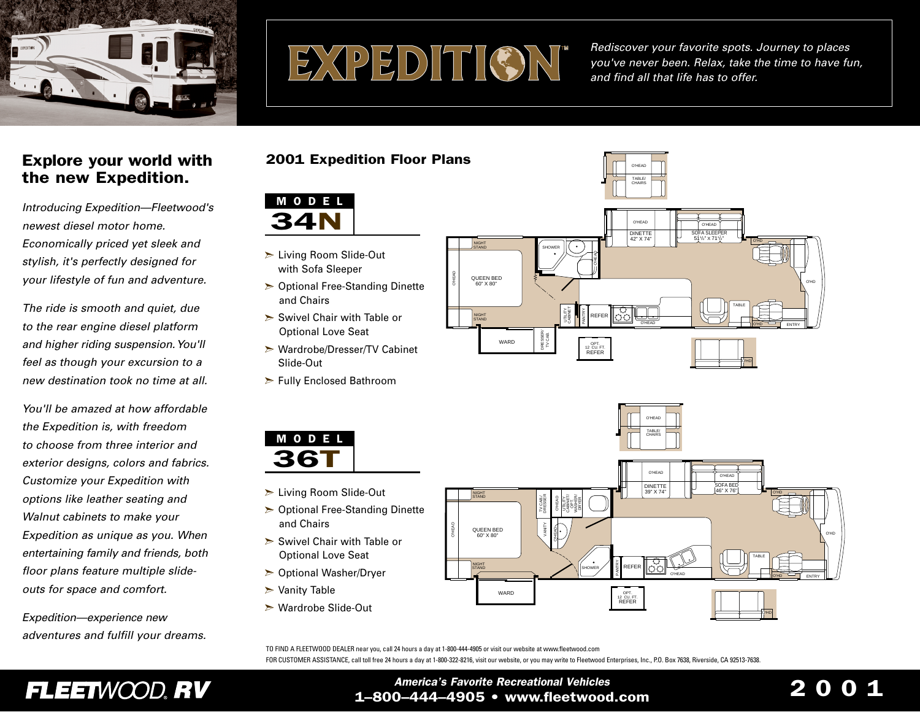

# EXPEDITION

*Rediscover your favorite spots. Journey to places you've never been. Relax, take the time to have fun, and find all that life has to offer.* 

# Explore your world with the new Expedition.

*Introducing Expedition—Fleetwood's newest diesel motor home.Economically priced yet sleek and stylish, it's perfectly designed for your lifestyle of fun and adventure.*

*The ride is smooth and quiet, due to the rear engine diesel platform and higher riding suspension.You'll feel as though your excursion to a new destination took no time at all.*

*You'll be amazed at how affordablethe Expedition is, with freedom to choose from three interior andexterior designs, colors and fabrics. Customize your Expedition with options like leather seating and Walnut cabinets to make your Expedition as unique as you. When entertaining family and friends, both floor plans feature multiple slideouts for space and comfort.*

*Expedition—experience new adventures and fulfill your dreams.*

# 2001 Expedition Floor Plans



- Living Room Slide-Out with Sofa Sleeper
- $\geq$  Optional Free-Standing Dinette and Chairs
- $\triangleright$  Swivel Chair with Table or Optional Love Seat
- **► Wardrobe/Dresser/TV Cabinet** Slide-Out
- $\triangleright$  Fully Enclosed Bathroom



- > Living Room Slide-Out
- $\geq$  Optional Free-Standing Dinette and Chairs
- $\triangleright$  Swivel Chair with Table or Optional Love Seat
- $\triangleright$  Optional Washer/Dryer
- $\triangleright$  Vanity Table
- Wardrobe Slide-Out



O'HEAD



TO FIND A FLEETWOOD DEALER near you, call 24 hours a day at 1-800-444-4905 or visit our website at www.fleetwood.com FOR CUSTOMER ASSISTANCE, call toll free 24 hours a day at 1-800-322-8216, visit our website, or you may write to Fleetwood Enterprises, Inc., P.O. Box 7638, Riverside, CA 92513-7638.

# FLEETWOOD, RV

## *America's Favorite Recreational Vehicles* 1–800–444–4905 • www.fleetwood.com